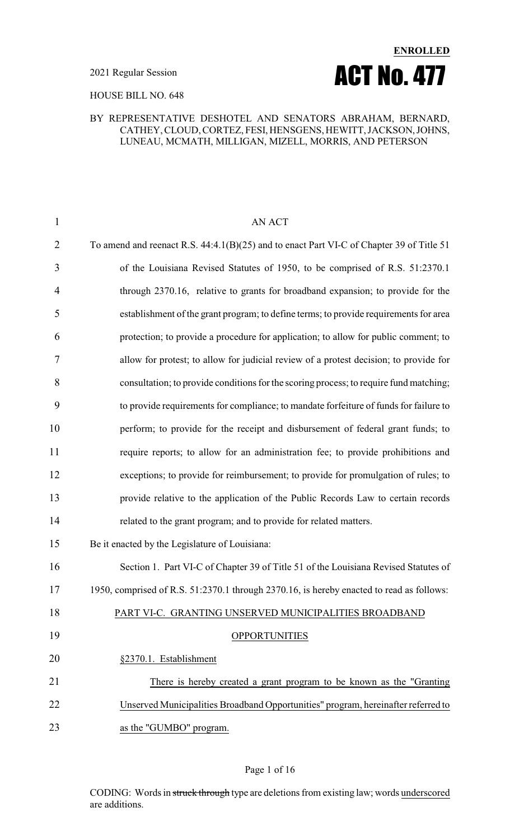

#### HOUSE BILL NO. 648

#### BY REPRESENTATIVE DESHOTEL AND SENATORS ABRAHAM, BERNARD, CATHEY, CLOUD, CORTEZ, FESI, HENSGENS, HEWITT,JACKSON,JOHNS, LUNEAU, MCMATH, MILLIGAN, MIZELL, MORRIS, AND PETERSON

| $\mathbf{1}$   | <b>AN ACT</b>                                                                            |
|----------------|------------------------------------------------------------------------------------------|
| $\overline{2}$ | To amend and reenact R.S. 44:4.1(B)(25) and to enact Part VI-C of Chapter 39 of Title 51 |
| 3              | of the Louisiana Revised Statutes of 1950, to be comprised of R.S. 51:2370.1             |
| $\overline{4}$ | through 2370.16, relative to grants for broadband expansion; to provide for the          |
| 5              | establishment of the grant program; to define terms; to provide requirements for area    |
| 6              | protection; to provide a procedure for application; to allow for public comment; to      |
| $\overline{7}$ | allow for protest; to allow for judicial review of a protest decision; to provide for    |
| 8              | consultation; to provide conditions for the scoring process; to require fund matching;   |
| 9              | to provide requirements for compliance; to mandate forfeiture of funds for failure to    |
| 10             | perform; to provide for the receipt and disbursement of federal grant funds; to          |
| 11             | require reports; to allow for an administration fee; to provide prohibitions and         |
| 12             | exceptions; to provide for reimbursement; to provide for promulgation of rules; to       |
| 13             | provide relative to the application of the Public Records Law to certain records         |
| 14             | related to the grant program; and to provide for related matters.                        |
| 15             | Be it enacted by the Legislature of Louisiana:                                           |
| 16             | Section 1. Part VI-C of Chapter 39 of Title 51 of the Louisiana Revised Statutes of      |
| 17             | 1950, comprised of R.S. 51:2370.1 through 2370.16, is hereby enacted to read as follows: |
| 18             | PART VI-C. GRANTING UNSERVED MUNICIPALITIES BROADBAND                                    |
| 19             | <b>OPPORTUNITIES</b>                                                                     |
| 20             | §2370.1. Establishment                                                                   |
| 21             | There is hereby created a grant program to be known as the "Granting"                    |
| 22             | Unserved Municipalities Broadband Opportunities" program, hereinafter referred to        |
| 23             | as the "GUMBO" program.                                                                  |
|                |                                                                                          |

#### Page 1 of 16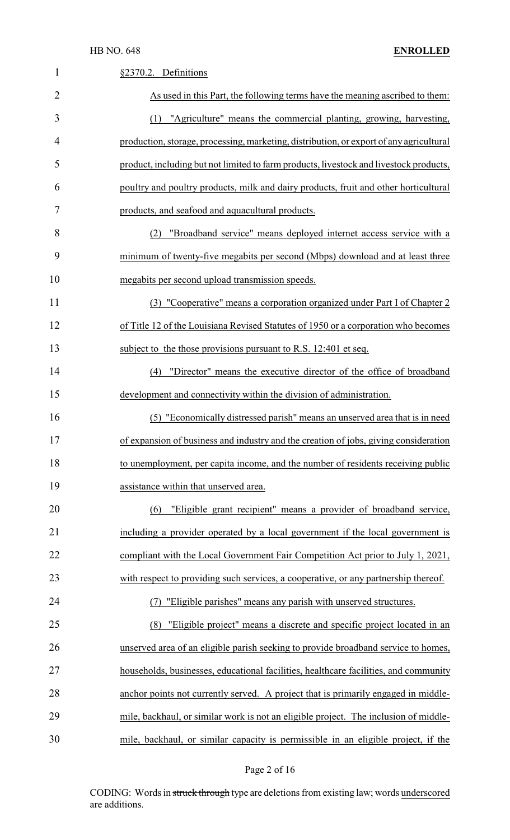| 1              | §2370.2. Definitions                                                                    |
|----------------|-----------------------------------------------------------------------------------------|
| $\overline{2}$ | As used in this Part, the following terms have the meaning ascribed to them:            |
| 3              | "Agriculture" means the commercial planting, growing, harvesting,<br>(1)                |
| 4              | production, storage, processing, marketing, distribution, or export of any agricultural |
| 5              | product, including but not limited to farm products, livestock and livestock products,  |
| 6              | poultry and poultry products, milk and dairy products, fruit and other horticultural    |
| 7              | products, and seafood and aquacultural products.                                        |
| 8              | "Broadband service" means deployed internet access service with a<br>(2)                |
| 9              | minimum of twenty-five megabits per second (Mbps) download and at least three           |
| 10             | megabits per second upload transmission speeds.                                         |
| 11             | (3) "Cooperative" means a corporation organized under Part I of Chapter 2               |
| 12             | of Title 12 of the Louisiana Revised Statutes of 1950 or a corporation who becomes      |
| 13             | subject to the those provisions pursuant to R.S. 12:401 et seq.                         |
| 14             | "Director" means the executive director of the office of broadband<br>(4)               |
| 15             | development and connectivity within the division of administration.                     |
| 16             | "Economically distressed parish" means an unserved area that is in need<br>(5)          |
| 17             | of expansion of business and industry and the creation of jobs, giving consideration    |
| 18             | to unemployment, per capita income, and the number of residents receiving public        |
| 19             | assistance within that unserved area.                                                   |
| 20             | "Eligible grant recipient" means a provider of broadband service,<br>(6)                |
| 21             | including a provider operated by a local government if the local government is          |
| 22             | compliant with the Local Government Fair Competition Act prior to July 1, 2021,         |
| 23             | with respect to providing such services, a cooperative, or any partnership thereof.     |
| 24             | "Eligible parishes" means any parish with unserved structures.                          |
| 25             | "Eligible project" means a discrete and specific project located in an<br>(8)           |
| 26             | unserved area of an eligible parish seeking to provide broadband service to homes,      |
| 27             | households, businesses, educational facilities, healthcare facilities, and community    |
| 28             | anchor points not currently served. A project that is primarily engaged in middle-      |
| 29             | mile, backhaul, or similar work is not an eligible project. The inclusion of middle-    |
| 30             | mile, backhaul, or similar capacity is permissible in an eligible project, if the       |

# Page 2 of 16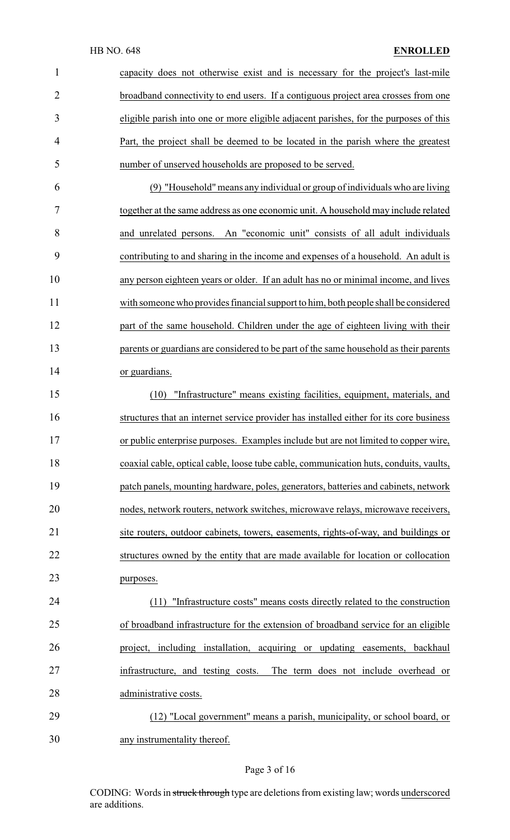| $\mathbf{1}$   | capacity does not otherwise exist and is necessary for the project's last-mile          |
|----------------|-----------------------------------------------------------------------------------------|
| $\overline{2}$ | broadband connectivity to end users. If a contiguous project area crosses from one      |
| 3              | eligible parish into one or more eligible adjacent parishes, for the purposes of this   |
| 4              | Part, the project shall be deemed to be located in the parish where the greatest        |
| 5              | number of unserved households are proposed to be served.                                |
| 6              | (9) "Household" means any individual or group of individuals who are living             |
| 7              | together at the same address as one economic unit. A household may include related      |
| 8              | and unrelated persons. An "economic unit" consists of all adult individuals             |
| 9              | contributing to and sharing in the income and expenses of a household. An adult is      |
| 10             | any person eighteen years or older. If an adult has no or minimal income, and lives     |
| 11             | with someone who provides financial support to him, both people shall be considered     |
| 12             | part of the same household. Children under the age of eighteen living with their        |
| 13             | parents or guardians are considered to be part of the same household as their parents   |
| 14             | or guardians.                                                                           |
| 15             | "Infrastructure" means existing facilities, equipment, materials, and<br>(10)           |
| 16             | structures that an internet service provider has installed either for its core business |
| 17             | or public enterprise purposes. Examples include but are not limited to copper wire,     |
| 18             | coaxial cable, optical cable, loose tube cable, communication huts, conduits, vaults,   |
| 19             | patch panels, mounting hardware, poles, generators, batteries and cabinets, network     |
| 20             | nodes, network routers, network switches, microwave relays, microwave receivers,        |
| 21             | site routers, outdoor cabinets, towers, easements, rights-of-way, and buildings or      |
| 22             | structures owned by the entity that are made available for location or collocation      |
| 23             | purposes.                                                                               |
| 24             | "Infrastructure costs" means costs directly related to the construction<br>(11)         |
| 25             | of broadband infrastructure for the extension of broadband service for an eligible      |
| 26             | project, including installation, acquiring or updating easements, backhaul              |
| 27             | infrastructure, and testing costs.<br>The term does not include overhead or             |
| 28             | administrative costs.                                                                   |
| 29             | (12) "Local government" means a parish, municipality, or school board, or               |
| 30             | any instrumentality thereof.                                                            |

# Page 3 of 16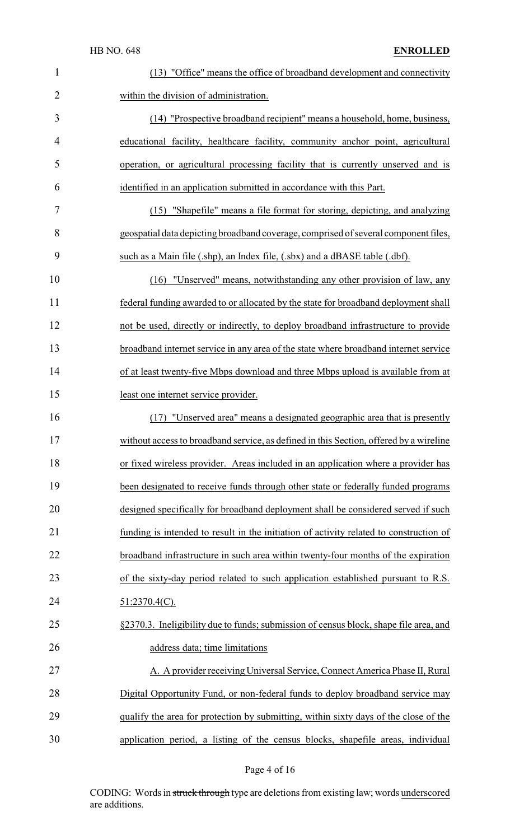| $\mathbf{1}$   | (13) "Office" means the office of broadband development and connectivity               |
|----------------|----------------------------------------------------------------------------------------|
| $\overline{2}$ | within the division of administration.                                                 |
| 3              | (14) "Prospective broadband recipient" means a household, home, business,              |
| 4              | educational facility, healthcare facility, community anchor point, agricultural        |
| 5              | operation, or agricultural processing facility that is currently unserved and is       |
| 6              | identified in an application submitted in accordance with this Part.                   |
| 7              | (15) "Shapefile" means a file format for storing, depicting, and analyzing             |
| 8              | geospatial data depicting broadband coverage, comprised of several component files,    |
| 9              | such as a Main file (.shp), an Index file, (.sbx) and a dBASE table (.dbf).            |
| 10             | "Unserved" means, notwithstanding any other provision of law, any<br>(16)              |
| 11             | federal funding awarded to or allocated by the state for broadband deployment shall    |
| 12             | not be used, directly or indirectly, to deploy broadband infrastructure to provide     |
| 13             | broadband internet service in any area of the state where broadband internet service   |
| 14             | of at least twenty-five Mbps download and three Mbps upload is available from at       |
| 15             | least one internet service provider.                                                   |
| 16             | "Unserved area" means a designated geographic area that is presently<br>(17)           |
| 17             | without access to broadband service, as defined in this Section, offered by a wireline |
| 18             | or fixed wireless provider. Areas included in an application where a provider has      |
| 19             | been designated to receive funds through other state or federally funded programs      |
| 20             | designed specifically for broadband deployment shall be considered served if such      |
| 21             | funding is intended to result in the initiation of activity related to construction of |
| 22             | broadband infrastructure in such area within twenty-four months of the expiration      |
| 23             | of the sixty-day period related to such application established pursuant to R.S.       |
| 24             | $51:2370.4(C)$ .                                                                       |
| 25             | §2370.3. Ineligibility due to funds; submission of census block, shape file area, and  |
| 26             | address data; time limitations                                                         |
| 27             | A. A provider receiving Universal Service, Connect America Phase II, Rural             |
| 28             | Digital Opportunity Fund, or non-federal funds to deploy broadband service may         |
| 29             | qualify the area for protection by submitting, within sixty days of the close of the   |
| 30             | application period, a listing of the census blocks, shapefile areas, individual        |

Page 4 of 16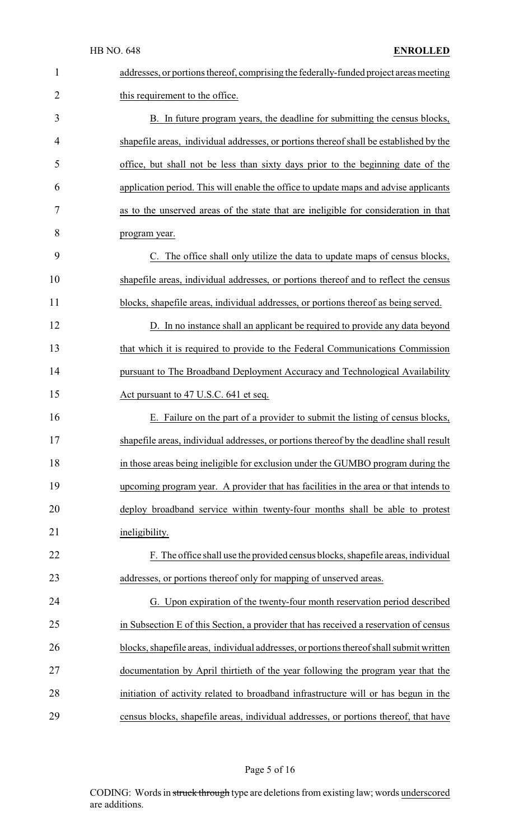| $\mathbf{1}$   | addresses, or portions thereof, comprising the federally-funded project areas meeting   |
|----------------|-----------------------------------------------------------------------------------------|
| $\overline{2}$ | this requirement to the office.                                                         |
| 3              | B. In future program years, the deadline for submitting the census blocks,              |
| 4              | shapefile areas, individual addresses, or portions thereof shall be established by the  |
| 5              | office, but shall not be less than sixty days prior to the beginning date of the        |
| 6              | application period. This will enable the office to update maps and advise applicants    |
| 7              | as to the unserved areas of the state that are ineligible for consideration in that     |
| 8              | program year.                                                                           |
| 9              | C. The office shall only utilize the data to update maps of census blocks,              |
| 10             | shapefile areas, individual addresses, or portions thereof and to reflect the census    |
| 11             | blocks, shapefile areas, individual addresses, or portions thereof as being served.     |
| 12             | D. In no instance shall an applicant be required to provide any data beyond             |
| 13             | that which it is required to provide to the Federal Communications Commission           |
| 14             | pursuant to The Broadband Deployment Accuracy and Technological Availability            |
| 15             | Act pursuant to 47 U.S.C. 641 et seq.                                                   |
| 16             | E. Failure on the part of a provider to submit the listing of census blocks,            |
| 17             | shapefile areas, individual addresses, or portions thereof by the deadline shall result |
| 18             | in those areas being ineligible for exclusion under the GUMBO program during the        |
| 19             | upcoming program year. A provider that has facilities in the area or that intends to    |
| 20             | deploy broadband service within twenty-four months shall be able to protest             |
| 21             | ineligibility.                                                                          |
| 22             | F. The office shall use the provided census blocks, shapefile areas, individual         |
| 23             | addresses, or portions thereof only for mapping of unserved areas.                      |
| 24             | G. Upon expiration of the twenty-four month reservation period described                |
| 25             | in Subsection E of this Section, a provider that has received a reservation of census   |
| 26             | blocks, shapefile areas, individual addresses, or portions thereof shall submit written |
| 27             | documentation by April thirtieth of the year following the program year that the        |
| 28             | initiation of activity related to broadband infrastructure will or has begun in the     |
| 29             | census blocks, shapefile areas, individual addresses, or portions thereof, that have    |

# Page 5 of 16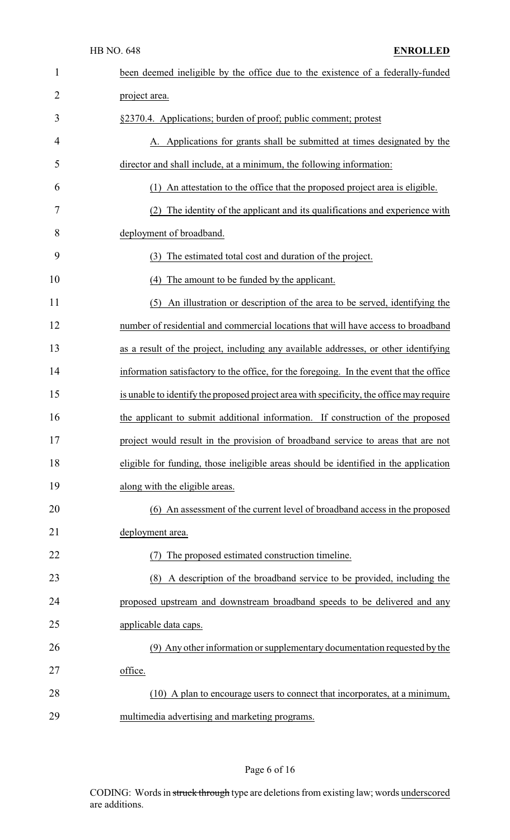| $\mathbf{1}$   | been deemed ineligible by the office due to the existence of a federally-funded          |
|----------------|------------------------------------------------------------------------------------------|
| $\overline{2}$ | project area.                                                                            |
| 3              | §2370.4. Applications; burden of proof; public comment; protest                          |
| 4              | A. Applications for grants shall be submitted at times designated by the                 |
| 5              | director and shall include, at a minimum, the following information:                     |
| 6              | (1) An attestation to the office that the proposed project area is eligible.             |
| 7              | (2) The identity of the applicant and its qualifications and experience with             |
| 8              | deployment of broadband.                                                                 |
| 9              | (3) The estimated total cost and duration of the project.                                |
| 10             | (4) The amount to be funded by the applicant.                                            |
| 11             | (5) An illustration or description of the area to be served, identifying the             |
| 12             | number of residential and commercial locations that will have access to broadband        |
| 13             | as a result of the project, including any available addresses, or other identifying      |
| 14             | information satisfactory to the office, for the foregoing. In the event that the office  |
| 15             | is unable to identify the proposed project area with specificity, the office may require |
| 16             | the applicant to submit additional information. If construction of the proposed          |
| 17             | project would result in the provision of broadband service to areas that are not         |
| 18             | eligible for funding, those ineligible areas should be identified in the application     |
| 19             | along with the eligible areas.                                                           |
| 20             | (6) An assessment of the current level of broadband access in the proposed               |
| 21             | deployment area.                                                                         |
| 22             | The proposed estimated construction timeline.                                            |
| 23             | A description of the broadband service to be provided, including the<br>(8)              |
| 24             | proposed upstream and downstream broadband speeds to be delivered and any                |
| 25             | applicable data caps.                                                                    |
| 26             | (9) Any other information or supplementary documentation requested by the                |
| 27             | office.                                                                                  |
| 28             | (10) A plan to encourage users to connect that incorporates, at a minimum,               |
| 29             | multimedia advertising and marketing programs.                                           |

# Page 6 of 16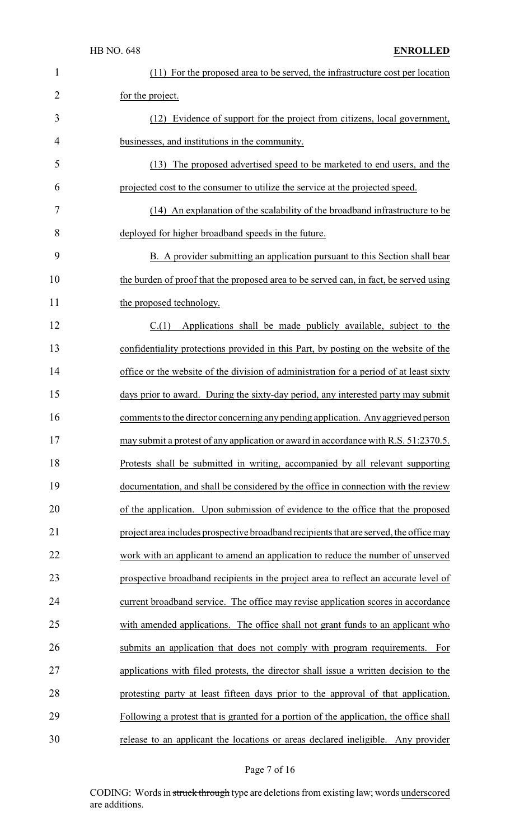| $\mathbf{1}$   | (11) For the proposed area to be served, the infrastructure cost per location          |
|----------------|----------------------------------------------------------------------------------------|
| $\overline{2}$ | for the project.                                                                       |
| 3              | Evidence of support for the project from citizens, local government,<br>(12)           |
| 4              | businesses, and institutions in the community.                                         |
| 5              | (13) The proposed advertised speed to be marketed to end users, and the                |
| 6              | projected cost to the consumer to utilize the service at the projected speed.          |
| 7              | (14) An explanation of the scalability of the broadband infrastructure to be           |
| 8              | deployed for higher broadband speeds in the future.                                    |
| 9              | B. A provider submitting an application pursuant to this Section shall bear            |
| 10             | the burden of proof that the proposed area to be served can, in fact, be served using  |
| 11             | the proposed technology.                                                               |
| 12             | C(1)<br>Applications shall be made publicly available, subject to the                  |
| 13             | confidentiality protections provided in this Part, by posting on the website of the    |
| 14             | office or the website of the division of administration for a period of at least sixty |
| 15             | days prior to award. During the sixty-day period, any interested party may submit      |
| 16             | comments to the director concerning any pending application. Any aggrieved person      |
| 17             | may submit a protest of any application or award in accordance with R.S. 51:2370.5.    |
| 18             | Protests shall be submitted in writing, accompanied by all relevant supporting         |
| 19             | documentation, and shall be considered by the office in connection with the review     |
| 20             | of the application. Upon submission of evidence to the office that the proposed        |
| 21             | project area includes prospective broadband recipients that are served, the office may |
| 22             | work with an applicant to amend an application to reduce the number of unserved        |
| 23             | prospective broadband recipients in the project area to reflect an accurate level of   |
| 24             | current broadband service. The office may revise application scores in accordance      |
| 25             | with amended applications. The office shall not grant funds to an applicant who        |
| 26             | submits an application that does not comply with program requirements. For             |
| 27             | applications with filed protests, the director shall issue a written decision to the   |
| 28             | protesting party at least fifteen days prior to the approval of that application.      |
| 29             | Following a protest that is granted for a portion of the application, the office shall |
| 30             | release to an applicant the locations or areas declared ineligible. Any provider       |

# Page 7 of 16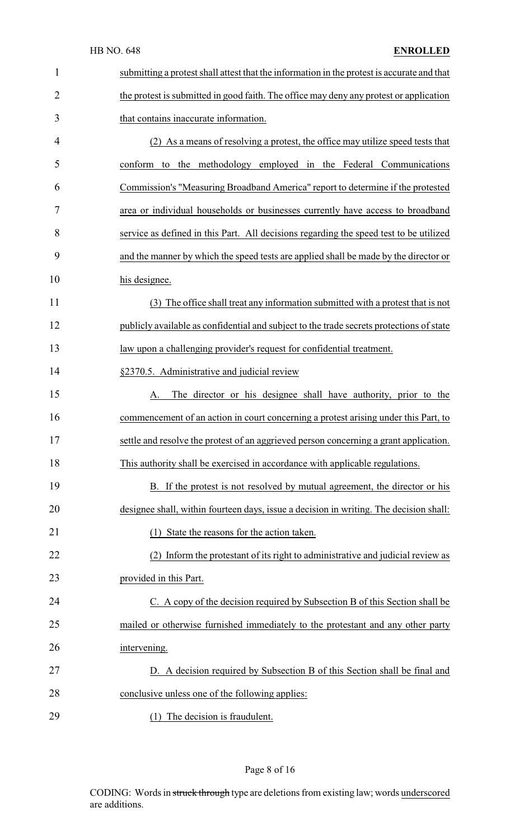#### HB NO. 648 **ENROLLED**

| $\mathbf{1}$   | submitting a protest shall attest that the information in the protest is accurate and that |
|----------------|--------------------------------------------------------------------------------------------|
| $\overline{2}$ | the protest is submitted in good faith. The office may deny any protest or application     |
| 3              | that contains inaccurate information.                                                      |
| $\overline{4}$ | (2) As a means of resolving a protest, the office may utilize speed tests that             |
| 5              | conform to the methodology employed in the Federal Communications                          |
| 6              | Commission's "Measuring Broadband America" report to determine if the protested            |
| 7              | area or individual households or businesses currently have access to broadband             |
| 8              | service as defined in this Part. All decisions regarding the speed test to be utilized     |
| 9              | and the manner by which the speed tests are applied shall be made by the director or       |
| 10             | his designee.                                                                              |
| 11             | (3) The office shall treat any information submitted with a protest that is not            |
| 12             | publicly available as confidential and subject to the trade secrets protections of state   |
| 13             | law upon a challenging provider's request for confidential treatment.                      |
| 14             | §2370.5. Administrative and judicial review                                                |
| 15             | The director or his designee shall have authority, prior to the<br>A.                      |
| 16             | commencement of an action in court concerning a protest arising under this Part, to        |
| 17             | settle and resolve the protest of an aggrieved person concerning a grant application       |
| 18             | This authority shall be exercised in accordance with applicable regulations.               |
| 19             | B. If the protest is not resolved by mutual agreement, the director or his                 |
| 20             | designee shall, within fourteen days, issue a decision in writing. The decision shall:     |
| 21             | (1) State the reasons for the action taken.                                                |
| 22             | (2) Inform the protestant of its right to administrative and judicial review as            |
| 23             | provided in this Part.                                                                     |
| 24             | C. A copy of the decision required by Subsection B of this Section shall be                |
| 25             | mailed or otherwise furnished immediately to the protestant and any other party            |
| 26             | intervening.                                                                               |
| 27             | D. A decision required by Subsection B of this Section shall be final and                  |
| 28             | conclusive unless one of the following applies:                                            |
| 29             | (1) The decision is fraudulent.                                                            |

# Page 8 of 16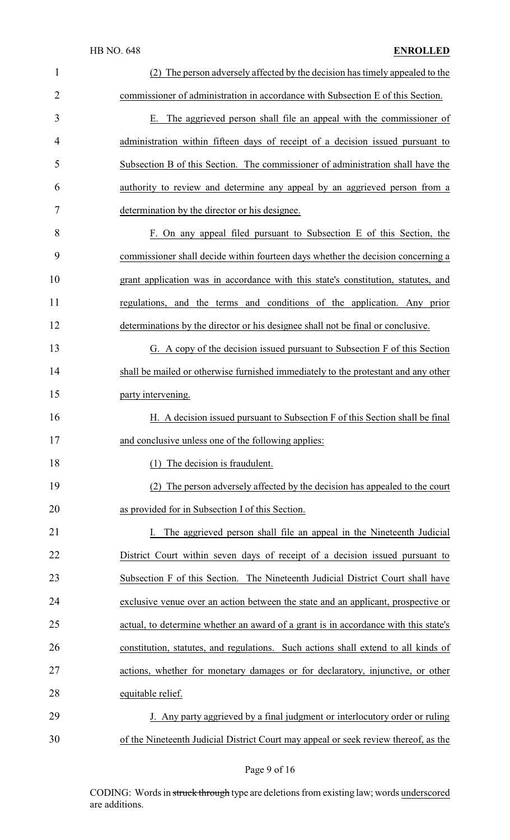| $\mathbf{1}$   | The person adversely affected by the decision has timely appealed to the            |
|----------------|-------------------------------------------------------------------------------------|
| $\overline{2}$ | commissioner of administration in accordance with Subsection E of this Section.     |
| 3              | E. The aggrieved person shall file an appeal with the commissioner of               |
| 4              | administration within fifteen days of receipt of a decision issued pursuant to      |
| 5              | Subsection B of this Section. The commissioner of administration shall have the     |
| 6              | authority to review and determine any appeal by an aggrieved person from a          |
| 7              | determination by the director or his designee.                                      |
| 8              | F. On any appeal filed pursuant to Subsection E of this Section, the                |
| 9              | commissioner shall decide within fourteen days whether the decision concerning a    |
| 10             | grant application was in accordance with this state's constitution, statutes, and   |
| 11             | regulations, and the terms and conditions of the application. Any prior             |
| 12             | determinations by the director or his designee shall not be final or conclusive.    |
| 13             | G. A copy of the decision issued pursuant to Subsection F of this Section           |
| 14             | shall be mailed or otherwise furnished immediately to the protestant and any other  |
| 15             | party intervening.                                                                  |
| 16             | H. A decision issued pursuant to Subsection F of this Section shall be final        |
| 17             | and conclusive unless one of the following applies:                                 |
| 18             | (1) The decision is fraudulent.                                                     |
| 19             | (2) The person adversely affected by the decision has appealed to the court         |
| 20             | as provided for in Subsection I of this Section.                                    |
| 21             | The aggrieved person shall file an appeal in the Nineteenth Judicial                |
| 22             | District Court within seven days of receipt of a decision issued pursuant to        |
| 23             | Subsection F of this Section. The Nineteenth Judicial District Court shall have     |
| 24             | exclusive venue over an action between the state and an applicant, prospective or   |
| 25             | actual, to determine whether an award of a grant is in accordance with this state's |
| 26             | constitution, statutes, and regulations. Such actions shall extend to all kinds of  |
| 27             | actions, whether for monetary damages or for declaratory, injunctive, or other      |
| 28             | equitable relief.                                                                   |
| 29             | J. Any party aggrieved by a final judgment or interlocutory order or ruling         |
| 30             | of the Nineteenth Judicial District Court may appeal or seek review thereof, as the |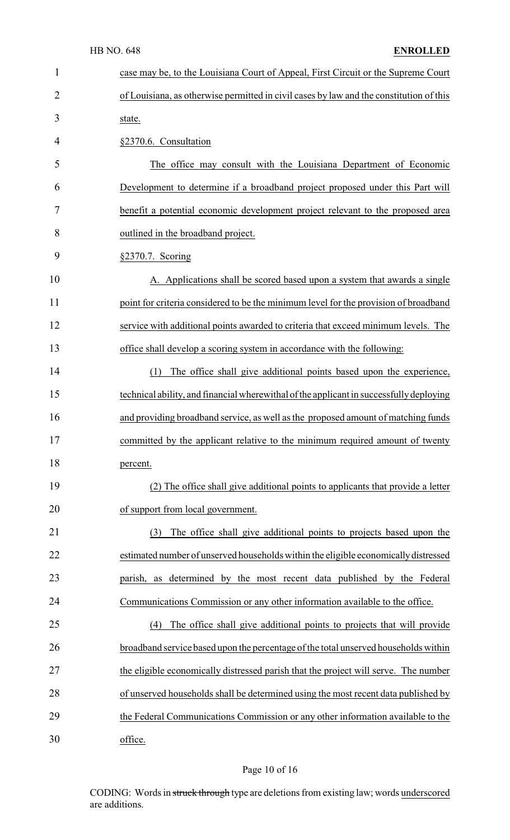| $\mathbf{1}$   | case may be, to the Louisiana Court of Appeal, First Circuit or the Supreme Court       |
|----------------|-----------------------------------------------------------------------------------------|
| $\overline{2}$ | of Louisiana, as otherwise permitted in civil cases by law and the constitution of this |
| 3              | state.                                                                                  |
| 4              | §2370.6. Consultation                                                                   |
| 5              | The office may consult with the Louisiana Department of Economic                        |
| 6              | Development to determine if a broadband project proposed under this Part will           |
| 7              | benefit a potential economic development project relevant to the proposed area          |
| 8              | outlined in the broadband project.                                                      |
| 9              | §2370.7. Scoring                                                                        |
| 10             | A. Applications shall be scored based upon a system that awards a single                |
| 11             | point for criteria considered to be the minimum level for the provision of broadband    |
| 12             | service with additional points awarded to criteria that exceed minimum levels. The      |
| 13             | office shall develop a scoring system in accordance with the following:                 |
| 14             | The office shall give additional points based upon the experience,<br>(1)               |
| 15             | technical ability, and financial wherewithal of the applicant in successfully deploying |
| 16             | and providing broadband service, as well as the proposed amount of matching funds       |
| 17             | committed by the applicant relative to the minimum required amount of twenty            |
| 18             | percent.                                                                                |
| 19             | (2) The office shall give additional points to applicants that provide a letter         |
| 20             | of support from local government.                                                       |
| 21             | The office shall give additional points to projects based upon the<br>(3)               |
| 22             | estimated number of unserved households within the eligible economically distressed     |
| 23             | parish, as determined by the most recent data published by the Federal                  |
| 24             | Communications Commission or any other information available to the office.             |
| 25             | The office shall give additional points to projects that will provide<br>(4)            |
| 26             | broadband service based upon the percentage of the total unserved households within     |
| 27             | the eligible economically distressed parish that the project will serve. The number     |
| 28             | of unserved households shall be determined using the most recent data published by      |
| 29             | the Federal Communications Commission or any other information available to the         |
| 30             | office.                                                                                 |

# Page 10 of 16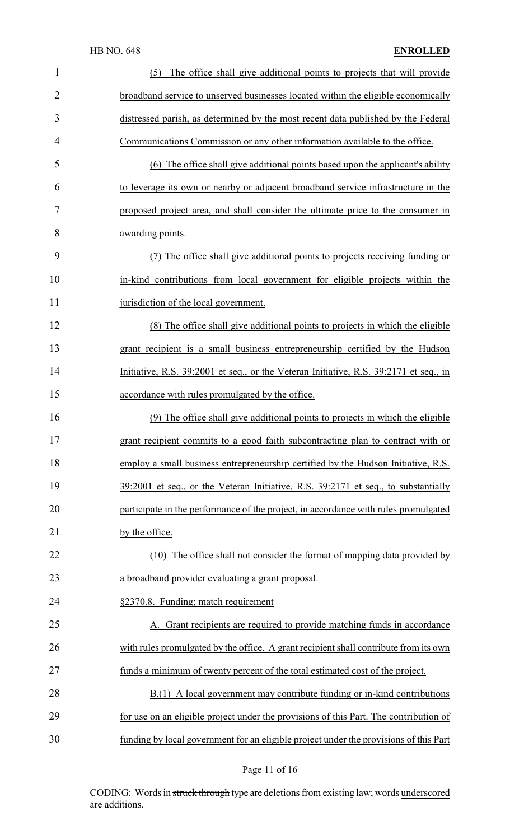| 1  | The office shall give additional points to projects that will provide<br>(5)          |
|----|---------------------------------------------------------------------------------------|
| 2  | broadband service to unserved businesses located within the eligible economically     |
| 3  | distressed parish, as determined by the most recent data published by the Federal     |
| 4  | Communications Commission or any other information available to the office.           |
| 5  | (6) The office shall give additional points based upon the applicant's ability        |
| 6  | to leverage its own or nearby or adjacent broadband service infrastructure in the     |
| 7  | proposed project area, and shall consider the ultimate price to the consumer in       |
| 8  | awarding points.                                                                      |
| 9  | (7) The office shall give additional points to projects receiving funding or          |
| 10 | in-kind contributions from local government for eligible projects within the          |
| 11 | jurisdiction of the local government.                                                 |
| 12 | (8) The office shall give additional points to projects in which the eligible         |
| 13 | grant recipient is a small business entrepreneurship certified by the Hudson          |
| 14 | Initiative, R.S. 39:2001 et seq., or the Veteran Initiative, R.S. 39:2171 et seq., in |
| 15 | accordance with rules promulgated by the office.                                      |
| 16 | (9) The office shall give additional points to projects in which the eligible         |
| 17 | grant recipient commits to a good faith subcontracting plan to contract with or       |
| 18 | employ a small business entrepreneurship certified by the Hudson Initiative, R.S.     |
| 19 | 39:2001 et seq., or the Veteran Initiative, R.S. 39:2171 et seq., to substantially    |
| 20 | participate in the performance of the project, in accordance with rules promulgated   |
| 21 | by the office.                                                                        |
| 22 | The office shall not consider the format of mapping data provided by<br>(10)          |
| 23 | a broadband provider evaluating a grant proposal.                                     |
| 24 | §2370.8. Funding; match requirement                                                   |
| 25 | A. Grant recipients are required to provide matching funds in accordance              |
| 26 | with rules promulgated by the office. A grant recipient shall contribute from its own |
| 27 | funds a minimum of twenty percent of the total estimated cost of the project.         |
| 28 | B.(1) A local government may contribute funding or in-kind contributions              |
| 29 | for use on an eligible project under the provisions of this Part. The contribution of |
| 30 | funding by local government for an eligible project under the provisions of this Part |

# Page 11 of 16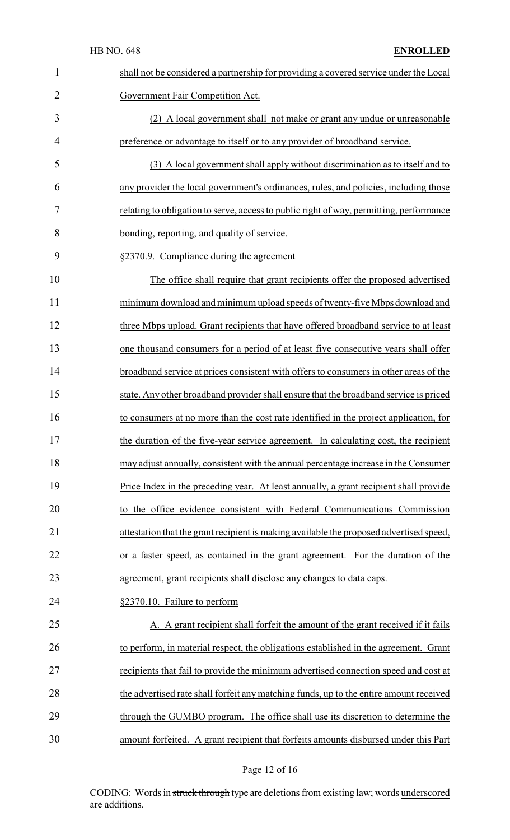| $\mathbf{1}$ | shall not be considered a partnership for providing a covered service under the Local   |
|--------------|-----------------------------------------------------------------------------------------|
| 2            | Government Fair Competition Act.                                                        |
| 3            | (2) A local government shall not make or grant any undue or unreasonable                |
| 4            | preference or advantage to itself or to any provider of broadband service.              |
| 5            | (3) A local government shall apply without discrimination as to itself and to           |
| 6            | any provider the local government's ordinances, rules, and policies, including those    |
| 7            | relating to obligation to serve, access to public right of way, permitting, performance |
| 8            | bonding, reporting, and quality of service.                                             |
| 9            | §2370.9. Compliance during the agreement                                                |
| 10           | The office shall require that grant recipients offer the proposed advertised            |
| 11           | minimum download and minimum upload speeds of twenty-five Mbps download and             |
| 12           | three Mbps upload. Grant recipients that have offered broadband service to at least     |
| 13           | one thousand consumers for a period of at least five consecutive years shall offer      |
| 14           | broadband service at prices consistent with offers to consumers in other areas of the   |
| 15           | state. Any other broadband provider shall ensure that the broadband service is priced   |
| 16           | to consumers at no more than the cost rate identified in the project application, for   |
| 17           | the duration of the five-year service agreement. In calculating cost, the recipient     |
| 18           | may adjust annually, consistent with the annual percentage increase in the Consumer     |
| 19           | Price Index in the preceding year. At least annually, a grant recipient shall provide   |
| 20           | to the office evidence consistent with Federal Communications Commission                |
| 21           | attestation that the grant recipient is making available the proposed advertised speed, |
| 22           | or a faster speed, as contained in the grant agreement. For the duration of the         |
| 23           | agreement, grant recipients shall disclose any changes to data caps.                    |
| 24           | §2370.10. Failure to perform                                                            |
| 25           | A. A grant recipient shall forfeit the amount of the grant received if it fails         |
| 26           | to perform, in material respect, the obligations established in the agreement. Grant    |
| 27           | recipients that fail to provide the minimum advertised connection speed and cost at     |
| 28           | the advertised rate shall forfeit any matching funds, up to the entire amount received  |
| 29           | through the GUMBO program. The office shall use its discretion to determine the         |
| 30           | amount forfeited. A grant recipient that forfeits amounts disbursed under this Part     |

# Page 12 of 16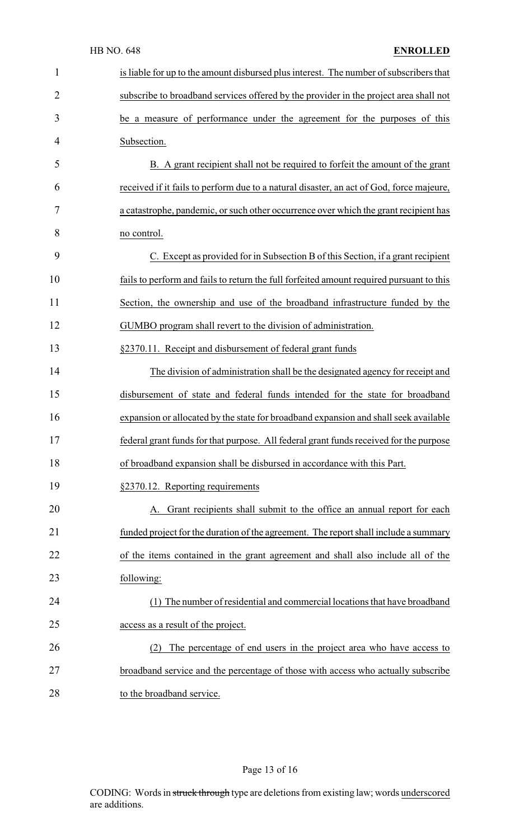| 1              | is liable for up to the amount disbursed plus interest. The number of subscribers that   |
|----------------|------------------------------------------------------------------------------------------|
| $\overline{2}$ | subscribe to broadband services offered by the provider in the project area shall not    |
| 3              | be a measure of performance under the agreement for the purposes of this                 |
| 4              | Subsection.                                                                              |
| 5              | B. A grant recipient shall not be required to forfeit the amount of the grant            |
| 6              | received if it fails to perform due to a natural disaster, an act of God, force majeure, |
| 7              | a catastrophe, pandemic, or such other occurrence over which the grant recipient has     |
| 8              | no control.                                                                              |
| 9              | C. Except as provided for in Subsection B of this Section, if a grant recipient          |
| 10             | fails to perform and fails to return the full forfeited amount required pursuant to this |
| 11             | Section, the ownership and use of the broadband infrastructure funded by the             |
| 12             | GUMBO program shall revert to the division of administration.                            |
| 13             | §2370.11. Receipt and disbursement of federal grant funds                                |
| 14             | The division of administration shall be the designated agency for receipt and            |
| 15             | disbursement of state and federal funds intended for the state for broadband             |
| 16             | expansion or allocated by the state for broadband expansion and shall seek available     |
| 17             | federal grant funds for that purpose. All federal grant funds received for the purpose   |
| 18             | of broadband expansion shall be disbursed in accordance with this Part.                  |
| 19             | §2370.12. Reporting requirements                                                         |
| 20             | Grant recipients shall submit to the office an annual report for each                    |
| 21             | funded project for the duration of the agreement. The report shall include a summary     |
| 22             | of the items contained in the grant agreement and shall also include all of the          |
| 23             | following:                                                                               |
| 24             | (1) The number of residential and commercial locations that have broadband               |
| 25             | access as a result of the project.                                                       |
| 26             | The percentage of end users in the project area who have access to<br>(2)                |
| 27             | broadband service and the percentage of those with access who actually subscribe         |
| 28             | to the broadband service.                                                                |

# Page 13 of 16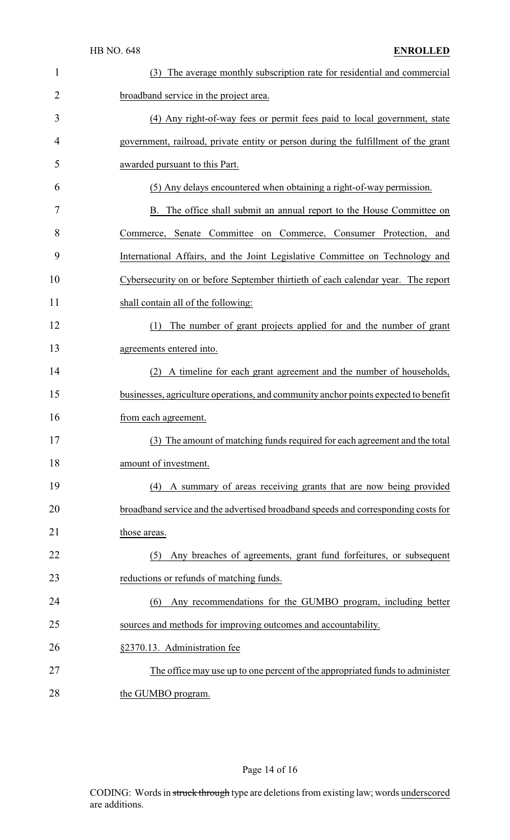| $\mathbf{1}$   | The average monthly subscription rate for residential and commercial<br>(3)         |
|----------------|-------------------------------------------------------------------------------------|
| $\overline{2}$ | broadband service in the project area.                                              |
| 3              | (4) Any right-of-way fees or permit fees paid to local government, state            |
| 4              | government, railroad, private entity or person during the fulfillment of the grant  |
| 5              | awarded pursuant to this Part.                                                      |
| 6              | (5) Any delays encountered when obtaining a right-of-way permission.                |
| 7              | B. The office shall submit an annual report to the House Committee on               |
| 8              | Commerce, Senate Committee on Commerce, Consumer Protection, and                    |
| 9              | International Affairs, and the Joint Legislative Committee on Technology and        |
| 10             | Cybersecurity on or before September thirtieth of each calendar year. The report    |
| 11             | shall contain all of the following:                                                 |
| 12             | The number of grant projects applied for and the number of grant<br>(1)             |
| 13             | agreements entered into.                                                            |
| 14             | (2) A timeline for each grant agreement and the number of households,               |
| 15             | businesses, agriculture operations, and community anchor points expected to benefit |
| 16             | from each agreement.                                                                |
| 17             | (3) The amount of matching funds required for each agreement and the total          |
| 18             | amount of investment.                                                               |
| 19             | (4) A summary of areas receiving grants that are now being provided                 |
| 20             | broadband service and the advertised broadband speeds and corresponding costs for   |
| 21             | those areas.                                                                        |
| 22             | Any breaches of agreements, grant fund forfeitures, or subsequent<br>(5)            |
| 23             | reductions or refunds of matching funds.                                            |
| 24             | Any recommendations for the GUMBO program, including better<br>(6)                  |
| 25             | sources and methods for improving outcomes and accountability.                      |
| 26             | §2370.13. Administration fee                                                        |
| 27             | The office may use up to one percent of the appropriated funds to administer        |
| 28             | the GUMBO program.                                                                  |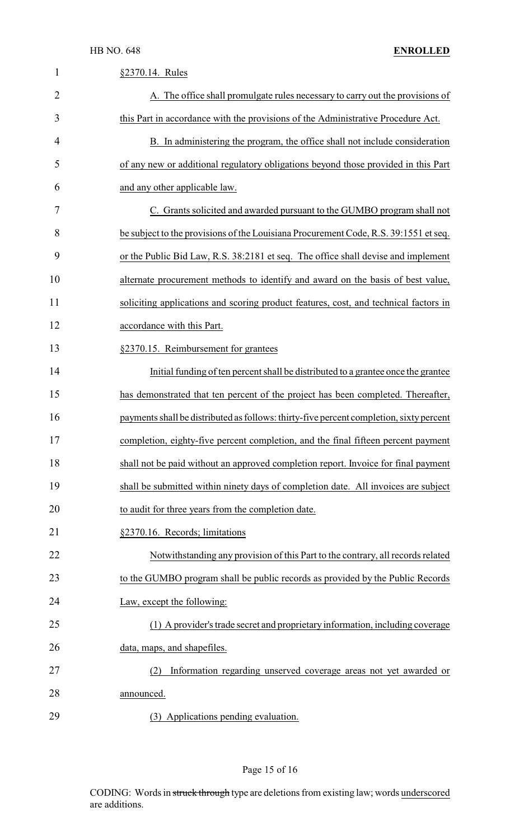| $\mathbf 1$    | §2370.14. Rules                                                                         |
|----------------|-----------------------------------------------------------------------------------------|
| $\overline{2}$ | A. The office shall promulgate rules necessary to carry out the provisions of           |
| 3              | this Part in accordance with the provisions of the Administrative Procedure Act.        |
| 4              | B. In administering the program, the office shall not include consideration             |
| 5              | of any new or additional regulatory obligations beyond those provided in this Part      |
| 6              | and any other applicable law.                                                           |
| 7              | C. Grants solicited and awarded pursuant to the GUMBO program shall not                 |
| 8              | be subject to the provisions of the Louisiana Procurement Code, R.S. 39:1551 et seq.    |
| 9              | or the Public Bid Law, R.S. 38:2181 et seq. The office shall devise and implement       |
| 10             | alternate procurement methods to identify and award on the basis of best value,         |
| 11             | soliciting applications and scoring product features, cost, and technical factors in    |
| 12             | accordance with this Part.                                                              |
| 13             | §2370.15. Reimbursement for grantees                                                    |
| 14             | Initial funding of ten percent shall be distributed to a grantee once the grantee       |
| 15             | has demonstrated that ten percent of the project has been completed. Thereafter,        |
| 16             | payments shall be distributed as follows: thirty-five percent completion, sixty percent |
| 17             | completion, eighty-five percent completion, and the final fifteen percent payment       |
| 18             | shall not be paid without an approved completion report. Invoice for final payment      |
| 19             | shall be submitted within ninety days of completion date. All invoices are subject      |
| 20             | to audit for three years from the completion date.                                      |
| 21             | §2370.16. Records; limitations                                                          |
| 22             | Notwithstanding any provision of this Part to the contrary, all records related         |
| 23             | to the GUMBO program shall be public records as provided by the Public Records          |
| 24             | Law, except the following:                                                              |
| 25             | (1) A provider's trade secret and proprietary information, including coverage           |
| 26             | data, maps, and shapefiles.                                                             |
| 27             | Information regarding unserved coverage areas not yet awarded or<br>(2)                 |
| 28             | announced.                                                                              |
| 29             | (3) Applications pending evaluation.                                                    |

# Page 15 of 16